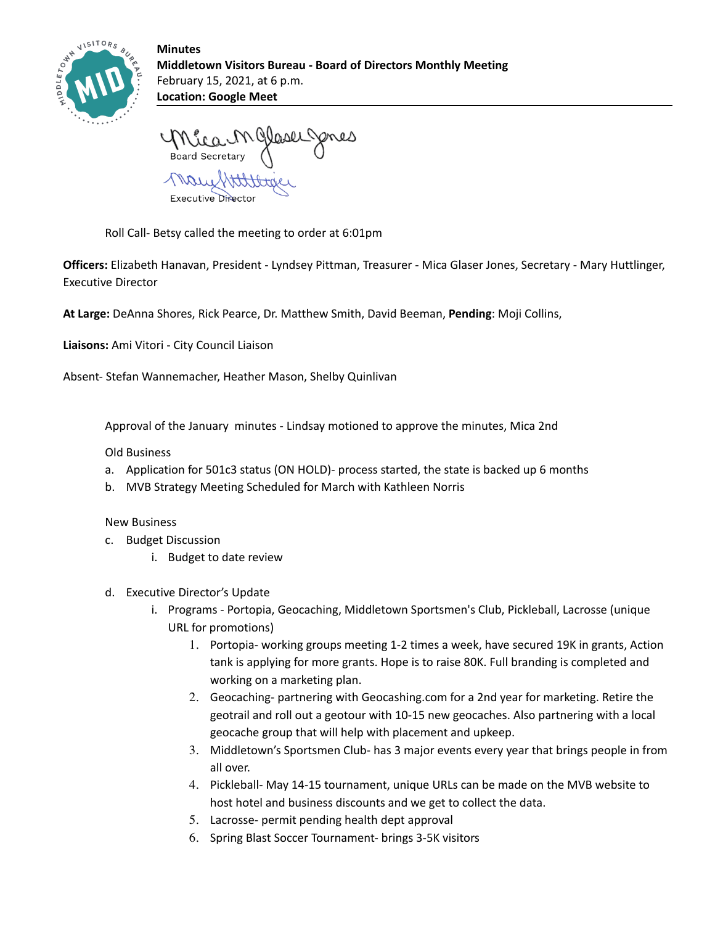

**Minutes Middletown Visitors Bureau - Board of Directors Monthly Meeting** February 15, 2021, at 6 p.m. **Location: Google Meet**

Meau M Glasel Jones

Executive Director

Roll Call- Betsy called the meeting to order at 6:01pm

**Officers:** Elizabeth Hanavan, President - Lyndsey Pittman, Treasurer - Mica Glaser Jones, Secretary - Mary Huttlinger, Executive Director

**At Large:** DeAnna Shores, Rick Pearce, Dr. Matthew Smith, David Beeman, **Pending**: Moji Collins,

**Liaisons:** Ami Vitori - City Council Liaison

Absent- Stefan Wannemacher, Heather Mason, Shelby Quinlivan

Approval of the January minutes - Lindsay motioned to approve the minutes, Mica 2nd

Old Business

- a. Application for 501c3 status (ON HOLD)- process started, the state is backed up 6 months
- b. MVB Strategy Meeting Scheduled for March with Kathleen Norris

New Business

- c. Budget Discussion
	- i. Budget to date review
- d. Executive Director's Update
	- i. Programs Portopia, Geocaching, Middletown Sportsmen's Club, Pickleball, Lacrosse (unique URL for promotions)
		- 1. Portopia- working groups meeting 1-2 times a week, have secured 19K in grants, Action tank is applying for more grants. Hope is to raise 80K. Full branding is completed and working on a marketing plan.
		- 2. Geocaching- partnering with Geocashing.com for a 2nd year for marketing. Retire the geotrail and roll out a geotour with 10-15 new geocaches. Also partnering with a local geocache group that will help with placement and upkeep.
		- 3. Middletown's Sportsmen Club- has 3 major events every year that brings people in from all over.
		- 4. Pickleball- May 14-15 tournament, unique URLs can be made on the MVB website to host hotel and business discounts and we get to collect the data.
		- 5. Lacrosse- permit pending health dept approval
		- 6. Spring Blast Soccer Tournament- brings 3-5K visitors